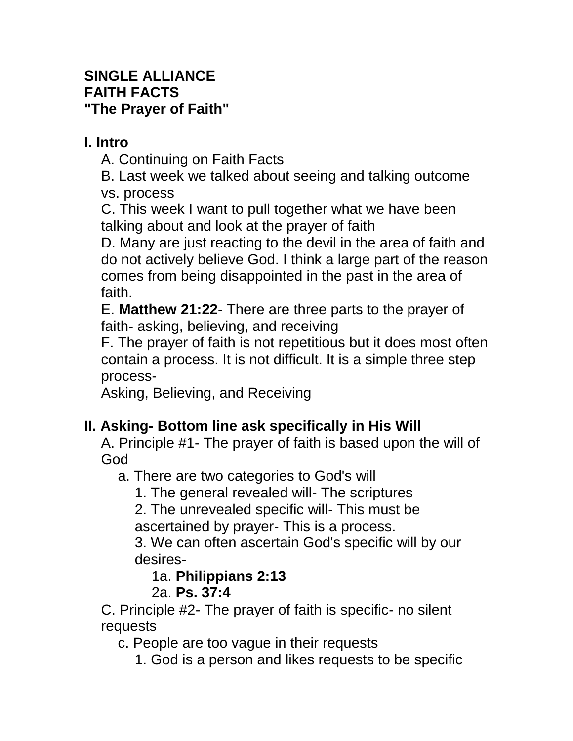## **SINGLE ALLIANCE FAITH FACTS "The Prayer of Faith"**

## **I. Intro**

A. Continuing on Faith Facts

B. Last week we talked about seeing and talking outcome vs. process

C. This week I want to pull together what we have been talking about and look at the prayer of faith

D. Many are just reacting to the devil in the area of faith and do not actively believe God. I think a large part of the reason comes from being disappointed in the past in the area of faith.

E. **Matthew 21:22**- There are three parts to the prayer of faith- asking, believing, and receiving

F. The prayer of faith is not repetitious but it does most often contain a process. It is not difficult. It is a simple three step process-

Asking, Believing, and Receiving

# **II. Asking- Bottom line ask specifically in His Will**

A. Principle #1- The prayer of faith is based upon the will of God

a. There are two categories to God's will

1. The general revealed will- The scriptures

2. The unrevealed specific will- This must be ascertained by prayer- This is a process.

3. We can often ascertain God's specific will by our desires-

1a. **Philippians 2:13**

# 2a. **Ps. 37:4**

C. Principle #2- The prayer of faith is specific- no silent requests

c. People are too vague in their requests

1. God is a person and likes requests to be specific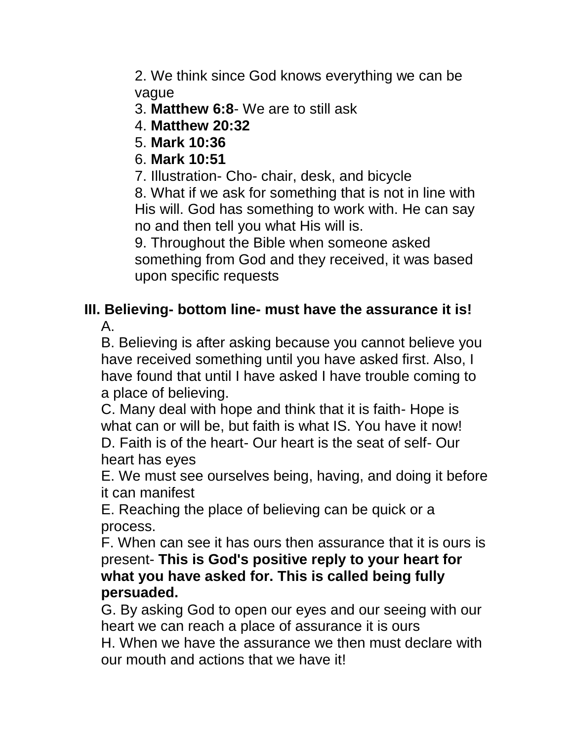2. We think since God knows everything we can be vague

- 3. **Matthew 6:8** We are to still ask
- 4. **Matthew 20:32**
- 5. **Mark 10:36**
- 6. **Mark 10:51**
- 7. Illustration- Cho- chair, desk, and bicycle

8. What if we ask for something that is not in line with His will. God has something to work with. He can say no and then tell you what His will is.

9. Throughout the Bible when someone asked something from God and they received, it was based upon specific requests

#### **III. Believing- bottom line- must have the assurance it is!** A.

B. Believing is after asking because you cannot believe you have received something until you have asked first. Also, I have found that until I have asked I have trouble coming to a place of believing.

C. Many deal with hope and think that it is faith- Hope is what can or will be, but faith is what IS. You have it now! D. Faith is of the heart- Our heart is the seat of self- Our heart has eyes

E. We must see ourselves being, having, and doing it before it can manifest

E. Reaching the place of believing can be quick or a process.

F. When can see it has ours then assurance that it is ours is present- **This is God's positive reply to your heart for what you have asked for. This is called being fully persuaded.**

G. By asking God to open our eyes and our seeing with our heart we can reach a place of assurance it is ours H. When we have the assurance we then must declare with our mouth and actions that we have it!